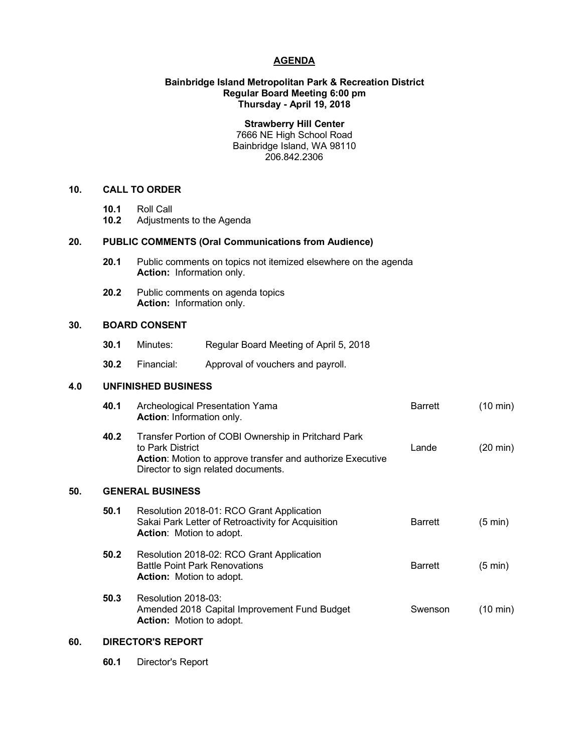### **AGENDA**

## **Bainbridge Island Metropolitan Park & Recreation District Regular Board Meeting 6:00 pm Thursday - April 19, 2018**

**Strawberry Hill Center** 7666 NE High School Road Bainbridge Island, WA 98110 206.842.2306

## **10. CALL TO ORDER**

- **10.1** Roll Call
- **10.2** Adjustments to the Agenda

# **20. PUBLIC COMMENTS (Oral Communications from Audience)**

- **20.1** Public comments on topics not itemized elsewhere on the agenda **Action:** Information only.
- **20.2** Public comments on agenda topics **Action:** Information only.

# **30. BOARD CONSENT**

- **30.1** Minutes: Regular Board Meeting of April 5, 2018
- **30.2** Financial: Approval of vouchers and payroll.

## **4.0 UNFINISHED BUSINESS**

|     | 40.1 | Archeological Presentation Yama<br><b>Action: Information only.</b>                                                                                                                  | <b>Barrett</b> | $(10 \text{ min})$ |  |
|-----|------|--------------------------------------------------------------------------------------------------------------------------------------------------------------------------------------|----------------|--------------------|--|
|     | 40.2 | Transfer Portion of COBI Ownership in Pritchard Park<br>to Park District<br><b>Action:</b> Motion to approve transfer and authorize Executive<br>Director to sign related documents. | Lande          | $(20 \text{ min})$ |  |
| 50. |      | <b>GENERAL BUSINESS</b>                                                                                                                                                              |                |                    |  |
|     | 50.1 | Resolution 2018-01: RCO Grant Application<br>Sakai Park Letter of Retroactivity for Acquisition<br><b>Action:</b> Motion to adopt.                                                   | <b>Barrett</b> | $(5 \text{ min})$  |  |
|     | 50.2 | Resolution 2018-02: RCO Grant Application<br><b>Battle Point Park Renovations</b><br><b>Action:</b> Motion to adopt.                                                                 | <b>Barrett</b> | $(5 \text{ min})$  |  |
|     | 50.3 | Resolution 2018-03:<br>Amended 2018 Capital Improvement Fund Budget<br><b>Action:</b> Motion to adopt.                                                                               | Swenson        | (10 min)           |  |
|     |      |                                                                                                                                                                                      |                |                    |  |

# **60. DIRECTOR'S REPORT**

**60.1** Director's Report